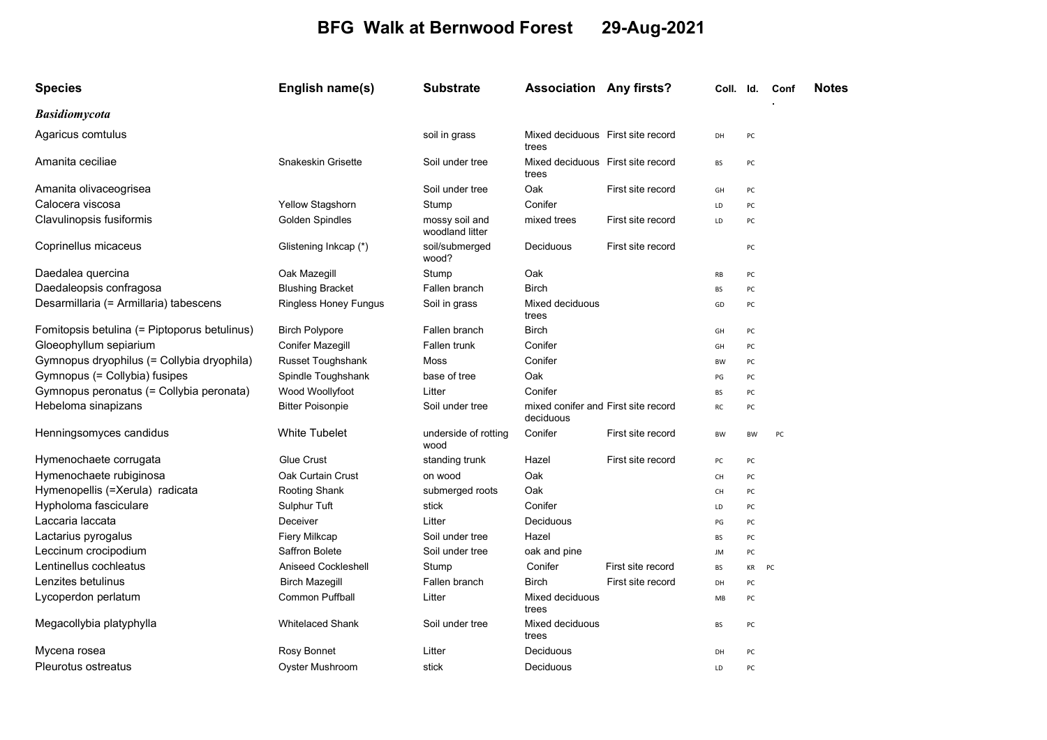## BFG Walk at Bernwood Forest 29-Aug-2021

| <b>Species</b>                               | English name(s)              | <b>Substrate</b>                  | <b>Association Any firsts?</b>                   |                   | Coll. Id. |           | Conf | <b>Notes</b> |
|----------------------------------------------|------------------------------|-----------------------------------|--------------------------------------------------|-------------------|-----------|-----------|------|--------------|
| <b>Basidiomycota</b>                         |                              |                                   |                                                  |                   |           |           |      |              |
| Agaricus comtulus                            |                              | soil in grass                     | Mixed deciduous First site record<br>trees       |                   | DH        | PC        |      |              |
| Amanita ceciliae                             | Snakeskin Grisette           | Soil under tree                   | Mixed deciduous First site record<br>trees       |                   | BS        | PC        |      |              |
| Amanita olivaceogrisea                       |                              | Soil under tree                   | Oak                                              | First site record | GH        | PC        |      |              |
| Calocera viscosa                             | Yellow Stagshorn             | Stump                             | Conifer                                          |                   | LD        | PC        |      |              |
| Clavulinopsis fusiformis                     | <b>Golden Spindles</b>       | mossy soil and<br>woodland litter | mixed trees                                      | First site record | LD        | PC        |      |              |
| Coprinellus micaceus                         | Glistening Inkcap (*)        | soil/submerged<br>wood?           | Deciduous                                        | First site record |           | PC        |      |              |
| Daedalea quercina                            | Oak Mazegill                 | Stump                             | Oak                                              |                   | RB        | PC        |      |              |
| Daedaleopsis confragosa                      | <b>Blushing Bracket</b>      | Fallen branch                     | <b>Birch</b>                                     |                   | BS        | PC        |      |              |
| Desarmillaria (= Armillaria) tabescens       | <b>Ringless Honey Fungus</b> | Soil in grass                     | Mixed deciduous<br>trees                         |                   | GD        | PC        |      |              |
| Fomitopsis betulina (= Piptoporus betulinus) | <b>Birch Polypore</b>        | Fallen branch                     | <b>Birch</b>                                     |                   | GH        | PC        |      |              |
| Gloeophyllum sepiarium                       | <b>Conifer Mazegill</b>      | Fallen trunk                      | Conifer                                          |                   | GH        | PC        |      |              |
| Gymnopus dryophilus (= Collybia dryophila)   | <b>Russet Toughshank</b>     | Moss                              | Conifer                                          |                   | <b>BW</b> | PC        |      |              |
| Gymnopus (= Collybia) fusipes                | Spindle Toughshank           | base of tree                      | Oak                                              |                   | PG        | PC        |      |              |
| Gymnopus peronatus (= Collybia peronata)     | Wood Woollyfoot              | Litter                            | Conifer                                          |                   | BS        | PC        |      |              |
| Hebeloma sinapizans                          | <b>Bitter Poisonpie</b>      | Soil under tree                   | mixed conifer and First site record<br>deciduous |                   | RC        | PC        |      |              |
| Henningsomyces candidus                      | <b>White Tubelet</b>         | underside of rotting<br>wood      | Conifer                                          | First site record | <b>BW</b> | <b>BW</b> | PC   |              |
| Hymenochaete corrugata                       | <b>Glue Crust</b>            | standing trunk                    | Hazel                                            | First site record | PC        | PC        |      |              |
| Hymenochaete rubiginosa                      | Oak Curtain Crust            | on wood                           | Oak                                              |                   | CH        | PC        |      |              |
| Hymenopellis (=Xerula) radicata              | Rooting Shank                | submerged roots                   | Oak                                              |                   | CH        | PC        |      |              |
| Hypholoma fasciculare                        | Sulphur Tuft                 | stick                             | Conifer                                          |                   | LD        | PC        |      |              |
| Laccaria laccata                             | Deceiver                     | Litter                            | Deciduous                                        |                   | PG        | PC        |      |              |
| Lactarius pyrogalus                          | Fiery Milkcap                | Soil under tree                   | Hazel                                            |                   | BS        | PC        |      |              |
| Leccinum crocipodium                         | Saffron Bolete               | Soil under tree                   | oak and pine                                     |                   | JM        | PC        |      |              |
| Lentinellus cochleatus                       | <b>Aniseed Cockleshell</b>   | Stump                             | Conifer                                          | First site record | <b>BS</b> | KR        | PC   |              |
| Lenzites betulinus                           | <b>Birch Mazegill</b>        | Fallen branch                     | <b>Birch</b>                                     | First site record | DH        | PC        |      |              |
| Lycoperdon perlatum                          | <b>Common Puffball</b>       | Litter                            | Mixed deciduous<br>trees                         |                   | MB        | PC        |      |              |
| Megacollybia platyphylla                     | <b>Whitelaced Shank</b>      | Soil under tree                   | Mixed deciduous<br>trees                         |                   | BS        | PC        |      |              |
| Mycena rosea                                 | Rosy Bonnet                  | Litter                            | Deciduous                                        |                   | DH        | PC        |      |              |
| Pleurotus ostreatus                          | <b>Oyster Mushroom</b>       | stick                             | Deciduous                                        |                   | LD        | PC        |      |              |